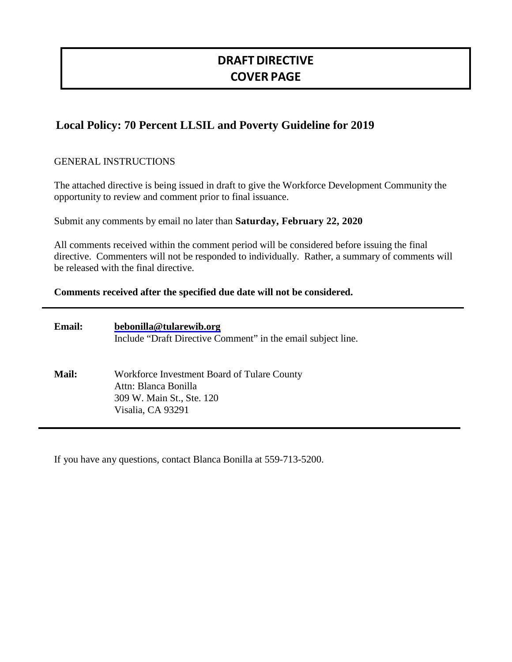# **DRAFTDIRECTIVE COVER PAGE**

# **Local Policy: 70 Percent LLSIL and Poverty Guideline for 2019**

# GENERAL INSTRUCTIONS

The attached directive is being issued in draft to give the Workforce Development Community the opportunity to review and comment prior to final issuance.

Submit any comments by email no later than **Saturday, February 22, 2020**

All comments received within the comment period will be considered before issuing the final directive. Commenters will not be responded to individually. Rather, a summary of comments will be released with the final directive.

#### **Comments received after the specified due date will not be considered.**

| <b>Email:</b> | bebonilla@tularewib.org<br>Include "Draft Directive Comment" in the email subject line.                               |
|---------------|-----------------------------------------------------------------------------------------------------------------------|
| <b>Mail:</b>  | Workforce Investment Board of Tulare County<br>Attn: Blanca Bonilla<br>309 W. Main St., Ste. 120<br>Visalia, CA 93291 |

If you have any questions, contact Blanca Bonilla at 559-713-5200.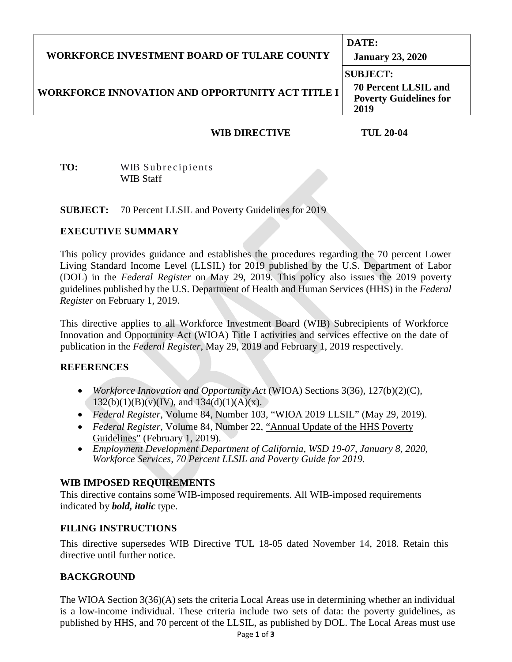| <b>WORKFORCE INVESTMENT BOARD OF TULARE COUNTY</b>      | DATE:<br><b>January 23, 2020</b>                                                        |  |
|---------------------------------------------------------|-----------------------------------------------------------------------------------------|--|
| <b>WORKFORCE INNOVATION AND OPPORTUNITY ACT TITLE I</b> | <b>SUBJECT:</b><br><b>70 Percent LLSIL and</b><br><b>Poverty Guidelines for</b><br>2019 |  |

### **WIB DIRECTIVE TUL 20-04**

**TO:** WIB Subrecipients WIB Staff

**SUBJECT:** 70 Percent LLSIL and Poverty Guidelines for 2019

#### **EXECUTIVE SUMMARY**

This policy provides guidance and establishes the procedures regarding the 70 percent Lower Living Standard Income Level (LLSIL) for 2019 published by the U.S. Department of Labor (DOL) in the *Federal Register* on May 29, 2019. This policy also issues the 2019 poverty guidelines published by the U.S. Department of Health and Human Services (HHS) in the *Federal Register* on February 1, 2019.

This directive applies to all Workforce Investment Board (WIB) Subrecipients of Workforce Innovation and Opportunity Act (WIOA) Title I activities and services effective on the date of publication in the *Federal Register*, May 29, 2019 and February 1, 2019 respectively.

#### **REFERENCES**

- *Workforce Innovation and Opportunity Act* (WIOA) Sections 3(36), 127(b)(2)(C),  $(132(b)(1)(B)(v)(IV))$ , and  $134(d)(1)(A)(x)$ .
- *Federal Register*, Volume 84, Number 103, "WIOA 2019 LLSIL" (May 29, 2019).
- *Federal Register*, Volume 84, Number 22, "Annual Update of the HHS Poverty Guidelines" (February 1, 2019).
- *Employment Development Department of California, WSD 19-07, January 8, 2020, Workforce Services, 70 Percent LLSIL and Poverty Guide for 2019.*

# **WIB IMPOSED REQUIREMENTS**

This directive contains some WIB-imposed requirements. All WIB-imposed requirements indicated by *bold, italic* type.

# **FILING INSTRUCTIONS**

This directive supersedes WIB Directive TUL 18-05 dated November 14, 2018. Retain this directive until further notice.

# **BACKGROUND**

The WIOA Section 3(36)(A) sets the criteria Local Areas use in determining whether an individual is a low-income individual. These criteria include two sets of data: the poverty guidelines, as published by HHS, and 70 percent of the LLSIL, as published by DOL. The Local Areas must use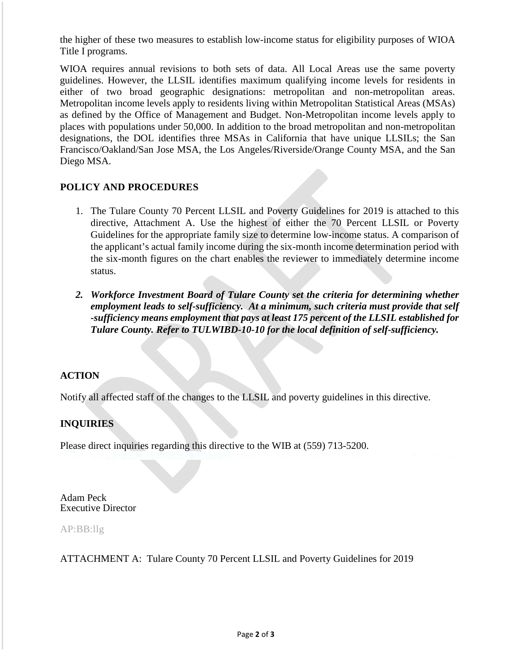the higher of these two measures to establish low-income status for eligibility purposes of WIOA Title I programs.

WIOA requires annual revisions to both sets of data. All Local Areas use the same poverty guidelines. However, the LLSIL identifies maximum qualifying income levels for residents in either of two broad geographic designations: metropolitan and non-metropolitan areas. Metropolitan income levels apply to residents living within Metropolitan Statistical Areas (MSAs) as defined by the Office of Management and Budget. Non-Metropolitan income levels apply to places with populations under 50,000. In addition to the broad metropolitan and non-metropolitan designations, the DOL identifies three MSAs in California that have unique LLSILs; the San Francisco/Oakland/San Jose MSA, the Los Angeles/Riverside/Orange County MSA, and the San Diego MSA.

# **POLICY AND PROCEDURES**

- 1. The Tulare County 70 Percent LLSIL and Poverty Guidelines for 2019 is attached to this directive, Attachment A. Use the highest of either the 70 Percent LLSIL or Poverty Guidelines for the appropriate family size to determine low-income status. A comparison of the applicant's actual family income during the six-month income determination period with the six-month figures on the chart enables the reviewer to immediately determine income status.
- *2. Workforce Investment Board of Tulare County set the criteria for determining whether employment leads to self-sufficiency. At a minimum, such criteria must provide that self -sufficiency means employment that pays at least 175 percent of the LLSIL established for Tulare County. Refer to TULWIBD-10-10 for the local definition of self-sufficiency.*

#### **ACTION**

Notify all affected staff of the changes to the LLSIL and poverty guidelines in this directive.

# **INQUIRIES**

Please direct inquiries regarding this directive to the WIB at (559) 713-5200.

Adam Peck Executive Director

#### AP:BB:llg

ATTACHMENT A: Tulare County 70 Percent LLSIL and Poverty Guidelines for 2019